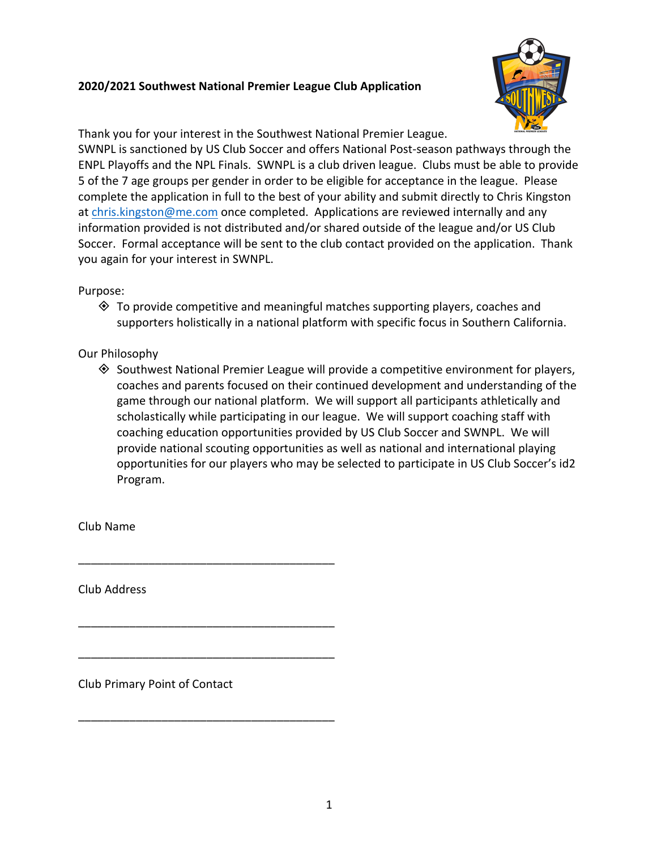## **2020/2021 Southwest National Premier League Club Application**



Thank you for your interest in the Southwest National Premier League.

SWNPL is sanctioned by US Club Soccer and offers National Post-season pathways through the ENPL Playoffs and the NPL Finals. SWNPL is a club driven league. Clubs must be able to provide 5 of the 7 age groups per gender in order to be eligible for acceptance in the league. Please complete the application in full to the best of your ability and submit directly to Chris Kingston at chris.kingston@me.com once completed. Applications are reviewed internally and any information provided is not distributed and/or shared outside of the league and/or US Club Soccer. Formal acceptance will be sent to the club contact provided on the application. Thank you again for your interest in SWNPL.

Purpose:

 $\diamondsuit$  To provide competitive and meaningful matches supporting players, coaches and supporters holistically in a national platform with specific focus in Southern California.

Our Philosophy

 $\diamondsuit$  Southwest National Premier League will provide a competitive environment for players, coaches and parents focused on their continued development and understanding of the game through our national platform. We will support all participants athletically and scholastically while participating in our league. We will support coaching staff with coaching education opportunities provided by US Club Soccer and SWNPL. We will provide national scouting opportunities as well as national and international playing opportunities for our players who may be selected to participate in US Club Soccer's id2 Program.

Club Name

Club Address

Club Primary Point of Contact

\_\_\_\_\_\_\_\_\_\_\_\_\_\_\_\_\_\_\_\_\_\_\_\_\_\_\_\_\_\_\_\_\_\_\_\_\_\_\_\_

\_\_\_\_\_\_\_\_\_\_\_\_\_\_\_\_\_\_\_\_\_\_\_\_\_\_\_\_\_\_\_\_\_\_\_\_\_\_\_\_

\_\_\_\_\_\_\_\_\_\_\_\_\_\_\_\_\_\_\_\_\_\_\_\_\_\_\_\_\_\_\_\_\_\_\_\_\_\_\_\_

\_\_\_\_\_\_\_\_\_\_\_\_\_\_\_\_\_\_\_\_\_\_\_\_\_\_\_\_\_\_\_\_\_\_\_\_\_\_\_\_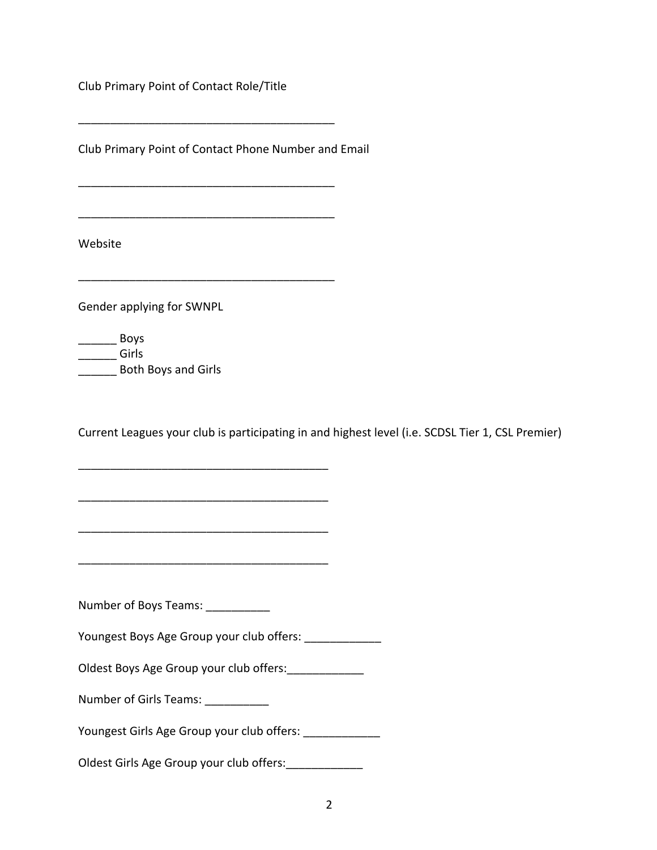Club Primary Point of Contact Role/Title

Club Primary Point of Contact Phone Number and Email

\_\_\_\_\_\_\_\_\_\_\_\_\_\_\_\_\_\_\_\_\_\_\_\_\_\_\_\_\_\_\_\_\_\_\_\_\_\_\_\_

\_\_\_\_\_\_\_\_\_\_\_\_\_\_\_\_\_\_\_\_\_\_\_\_\_\_\_\_\_\_\_\_\_\_\_\_\_\_\_\_

\_\_\_\_\_\_\_\_\_\_\_\_\_\_\_\_\_\_\_\_\_\_\_\_\_\_\_\_\_\_\_\_\_\_\_\_\_\_\_\_

\_\_\_\_\_\_\_\_\_\_\_\_\_\_\_\_\_\_\_\_\_\_\_\_\_\_\_\_\_\_\_\_\_\_\_\_\_\_\_\_

\_\_\_\_\_\_\_\_\_\_\_\_\_\_\_\_\_\_\_\_\_\_\_\_\_\_\_\_\_\_\_\_\_\_\_\_\_\_\_

\_\_\_\_\_\_\_\_\_\_\_\_\_\_\_\_\_\_\_\_\_\_\_\_\_\_\_\_\_\_\_\_\_\_\_\_\_\_\_

\_\_\_\_\_\_\_\_\_\_\_\_\_\_\_\_\_\_\_\_\_\_\_\_\_\_\_\_\_\_\_\_\_\_\_\_\_\_\_

\_\_\_\_\_\_\_\_\_\_\_\_\_\_\_\_\_\_\_\_\_\_\_\_\_\_\_\_\_\_\_\_\_\_\_\_\_\_\_

Website

Gender applying for SWNPL

\_\_\_\_\_\_ Boys \_\_\_\_\_\_ Girls **\_\_\_\_\_\_\_** Both Boys and Girls

Current Leagues your club is participating in and highest level (i.e. SCDSL Tier 1, CSL Premier)

Number of Boys Teams: \_\_\_\_\_\_\_\_\_\_\_

Youngest Boys Age Group your club offers: \_\_\_\_\_\_\_\_\_\_\_\_

Oldest Boys Age Group your club offers:

| Number of Girls Teams: |  |  |  |
|------------------------|--|--|--|
|------------------------|--|--|--|

Youngest Girls Age Group your club offers: \_\_\_\_\_\_\_

Oldest Girls Age Group your club offers: \_\_\_\_\_\_\_\_\_\_\_\_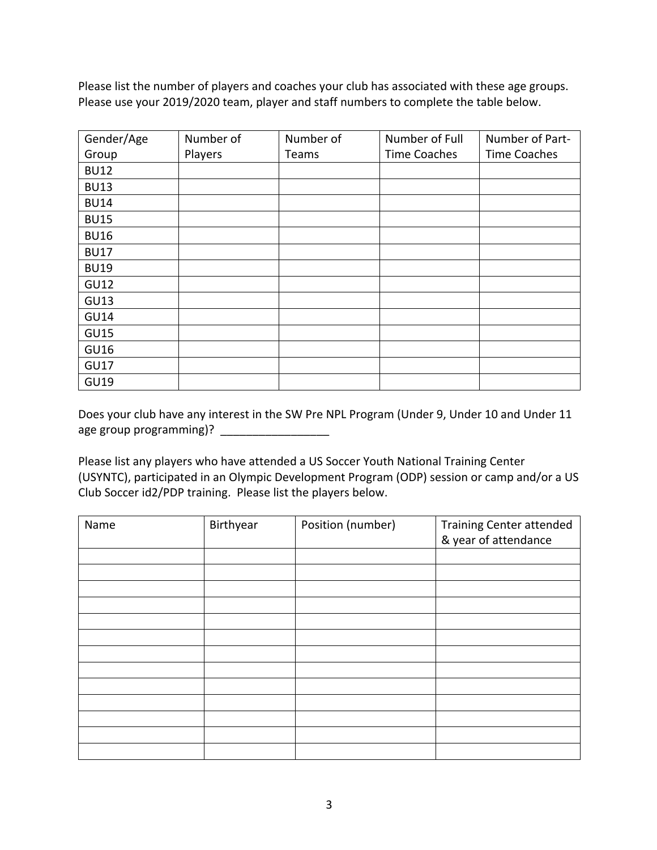Please list the number of players and coaches your club has associated with these age groups. Please use your 2019/2020 team, player and staff numbers to complete the table below.

| Gender/Age  | Number of | Number of | Number of Full | Number of Part-     |
|-------------|-----------|-----------|----------------|---------------------|
| Group       | Players   | Teams     | Time Coaches   | <b>Time Coaches</b> |
| <b>BU12</b> |           |           |                |                     |
| <b>BU13</b> |           |           |                |                     |
| <b>BU14</b> |           |           |                |                     |
| <b>BU15</b> |           |           |                |                     |
| <b>BU16</b> |           |           |                |                     |
| <b>BU17</b> |           |           |                |                     |
| <b>BU19</b> |           |           |                |                     |
| <b>GU12</b> |           |           |                |                     |
| <b>GU13</b> |           |           |                |                     |
| <b>GU14</b> |           |           |                |                     |
| <b>GU15</b> |           |           |                |                     |
| <b>GU16</b> |           |           |                |                     |
| <b>GU17</b> |           |           |                |                     |
| <b>GU19</b> |           |           |                |                     |

Does your club have any interest in the SW Pre NPL Program (Under 9, Under 10 and Under 11 age group programming)? \_\_\_\_\_\_\_\_\_\_\_\_\_\_\_\_\_

Please list any players who have attended a US Soccer Youth National Training Center (USYNTC), participated in an Olympic Development Program (ODP) session or camp and/or a US Club Soccer id2/PDP training. Please list the players below.

| Name | Birthyear | Position (number) | <b>Training Center attended</b><br>& year of attendance |
|------|-----------|-------------------|---------------------------------------------------------|
|      |           |                   |                                                         |
|      |           |                   |                                                         |
|      |           |                   |                                                         |
|      |           |                   |                                                         |
|      |           |                   |                                                         |
|      |           |                   |                                                         |
|      |           |                   |                                                         |
|      |           |                   |                                                         |
|      |           |                   |                                                         |
|      |           |                   |                                                         |
|      |           |                   |                                                         |
|      |           |                   |                                                         |
|      |           |                   |                                                         |